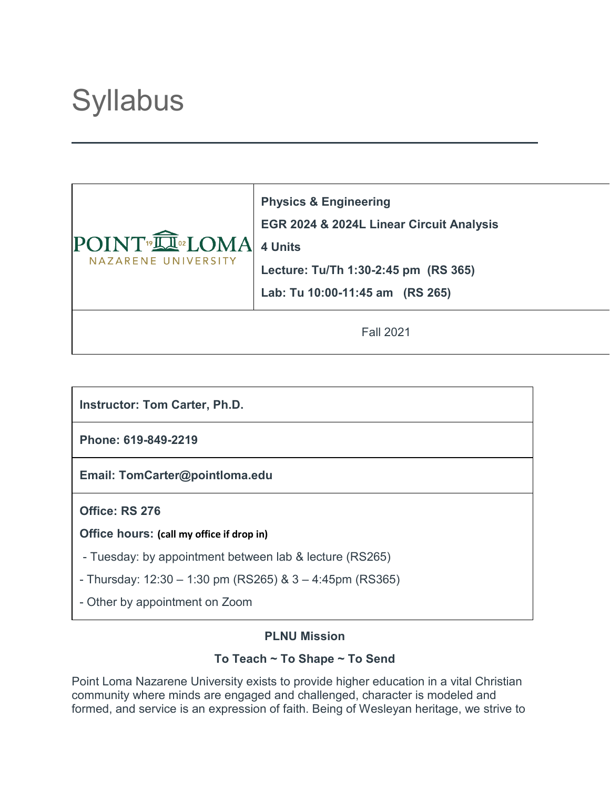# **Syllabus**



**Physics & Engineering EGR 2024 & 2024L Linear Circuit Analysis 4 Units Lecture: Tu/Th 1:30-2:45 pm (RS 365) Lab: Tu 10:00-11:45 am (RS 265)**

Fall 2021

**Instructor: Tom Carter, Ph.D.**

**Phone: 619-849-2219**

**Email: TomCarter@pointloma.edu**

**Office: RS 276**

**Office hours: (call my office if drop in)**

- Tuesday: by appointment between lab & lecture (RS265)
- Thursday:  $12:30 1:30$  pm (RS265) &  $3 4:45$ pm (RS365)
- Other by appointment on Zoom

# **PLNU Mission**

# **To Teach ~ To Shape ~ To Send**

Point Loma Nazarene University exists to provide higher education in a vital Christian community where minds are engaged and challenged, character is modeled and formed, and service is an expression of faith. Being of Wesleyan heritage, we strive to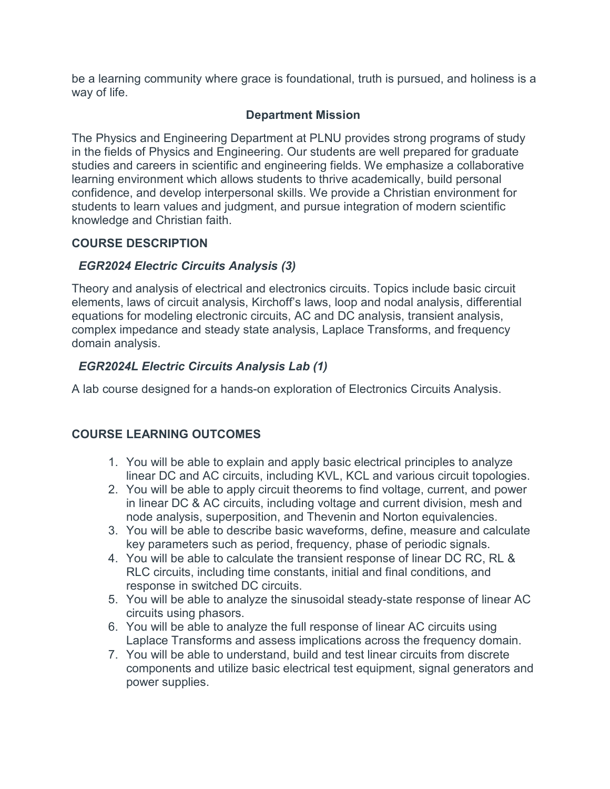be a learning community where grace is foundational, truth is pursued, and holiness is a way of life.

#### **Department Mission**

The Physics and Engineering Department at PLNU provides strong programs of study in the fields of Physics and Engineering. Our students are well prepared for graduate studies and careers in scientific and engineering fields. We emphasize a collaborative learning environment which allows students to thrive academically, build personal confidence, and develop interpersonal skills. We provide a Christian environment for students to learn values and judgment, and pursue integration of modern scientific knowledge and Christian faith.

#### **COURSE DESCRIPTION**

# *EGR2024 Electric Circuits Analysis (3)*

Theory and analysis of electrical and electronics circuits. Topics include basic circuit elements, laws of circuit analysis, Kirchoff's laws, loop and nodal analysis, differential equations for modeling electronic circuits, AC and DC analysis, transient analysis, complex impedance and steady state analysis, Laplace Transforms, and frequency domain analysis.

# *EGR2024L Electric Circuits Analysis Lab (1)*

A lab course designed for a hands-on exploration of Electronics Circuits Analysis.

# **COURSE LEARNING OUTCOMES**

- 1. You will be able to explain and apply basic electrical principles to analyze linear DC and AC circuits, including KVL, KCL and various circuit topologies.
- 2. You will be able to apply circuit theorems to find voltage, current, and power in linear DC & AC circuits, including voltage and current division, mesh and node analysis, superposition, and Thevenin and Norton equivalencies.
- 3. You will be able to describe basic waveforms, define, measure and calculate key parameters such as period, frequency, phase of periodic signals.
- 4. You will be able to calculate the transient response of linear DC RC, RL & RLC circuits, including time constants, initial and final conditions, and response in switched DC circuits.
- 5. You will be able to analyze the sinusoidal steady-state response of linear AC circuits using phasors.
- 6. You will be able to analyze the full response of linear AC circuits using Laplace Transforms and assess implications across the frequency domain.
- 7. You will be able to understand, build and test linear circuits from discrete components and utilize basic electrical test equipment, signal generators and power supplies.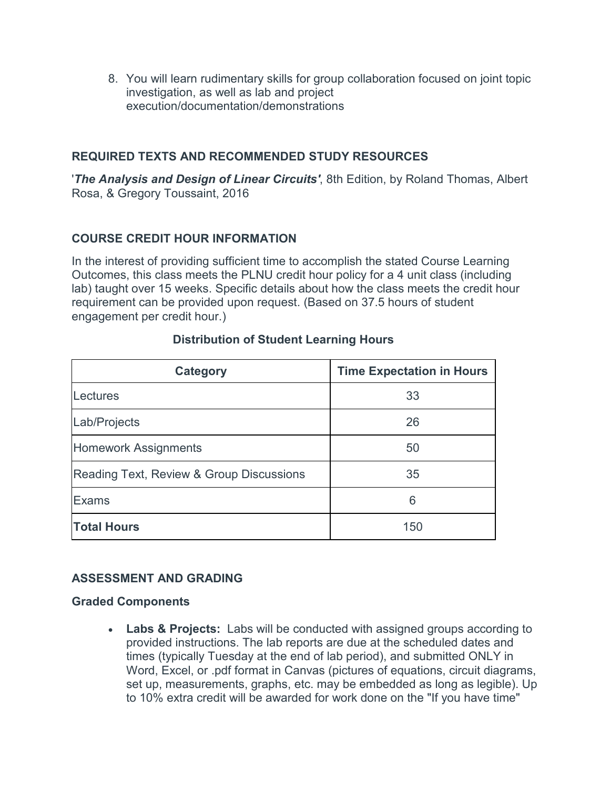8. You will learn rudimentary skills for group collaboration focused on joint topic investigation, as well as lab and project execution/documentation/demonstrations

# **REQUIRED TEXTS AND RECOMMENDED STUDY RESOURCES**

'*The Analysis and Design of Linear Circuits'*, 8th Edition, by Roland Thomas, Albert Rosa, & Gregory Toussaint, 2016

# **COURSE CREDIT HOUR INFORMATION**

In the interest of providing sufficient time to accomplish the stated Course Learning Outcomes, this class meets the PLNU credit hour policy for a 4 unit class (including lab) taught over 15 weeks. Specific details about how the class meets the credit hour requirement can be provided upon request. (Based on 37.5 hours of student engagement per credit hour.)

| Category                                 | <b>Time Expectation in Hours</b> |
|------------------------------------------|----------------------------------|
| Lectures                                 | 33                               |
| Lab/Projects                             | 26                               |
| <b>Homework Assignments</b>              | 50                               |
| Reading Text, Review & Group Discussions | 35                               |
| Exams                                    | 6                                |
| <b>Total Hours</b>                       | 150                              |

# **Distribution of Student Learning Hours**

# **ASSESSMENT AND GRADING**

#### **Graded Components**

• **Labs & Projects:** Labs will be conducted with assigned groups according to provided instructions. The lab reports are due at the scheduled dates and times (typically Tuesday at the end of lab period), and submitted ONLY in Word, Excel, or .pdf format in Canvas (pictures of equations, circuit diagrams, set up, measurements, graphs, etc. may be embedded as long as legible). Up to 10% extra credit will be awarded for work done on the "If you have time"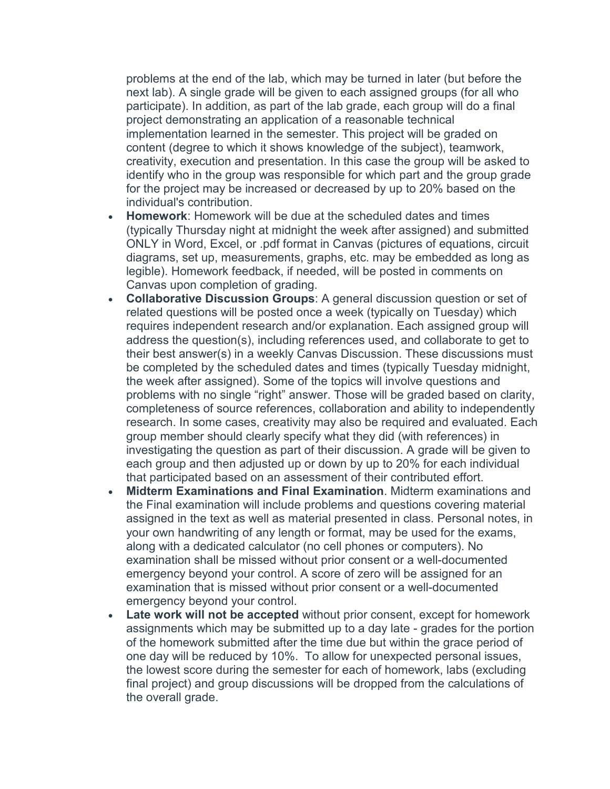problems at the end of the lab, which may be turned in later (but before the next lab). A single grade will be given to each assigned groups (for all who participate). In addition, as part of the lab grade, each group will do a final project demonstrating an application of a reasonable technical implementation learned in the semester. This project will be graded on content (degree to which it shows knowledge of the subject), teamwork, creativity, execution and presentation. In this case the group will be asked to identify who in the group was responsible for which part and the group grade for the project may be increased or decreased by up to 20% based on the individual's contribution.

- **Homework**: Homework will be due at the scheduled dates and times (typically Thursday night at midnight the week after assigned) and submitted ONLY in Word, Excel, or .pdf format in Canvas (pictures of equations, circuit diagrams, set up, measurements, graphs, etc. may be embedded as long as legible). Homework feedback, if needed, will be posted in comments on Canvas upon completion of grading.
- **Collaborative Discussion Groups**: A general discussion question or set of related questions will be posted once a week (typically on Tuesday) which requires independent research and/or explanation. Each assigned group will address the question(s), including references used, and collaborate to get to their best answer(s) in a weekly Canvas Discussion. These discussions must be completed by the scheduled dates and times (typically Tuesday midnight, the week after assigned). Some of the topics will involve questions and problems with no single "right" answer. Those will be graded based on clarity, completeness of source references, collaboration and ability to independently research. In some cases, creativity may also be required and evaluated. Each group member should clearly specify what they did (with references) in investigating the question as part of their discussion. A grade will be given to each group and then adjusted up or down by up to 20% for each individual that participated based on an assessment of their contributed effort.
- **Midterm Examinations and Final Examination**. Midterm examinations and the Final examination will include problems and questions covering material assigned in the text as well as material presented in class. Personal notes, in your own handwriting of any length or format, may be used for the exams, along with a dedicated calculator (no cell phones or computers). No examination shall be missed without prior consent or a well-documented emergency beyond your control. A score of zero will be assigned for an examination that is missed without prior consent or a well-documented emergency beyond your control.
- **Late work will not be accepted** without prior consent, except for homework assignments which may be submitted up to a day late - grades for the portion of the homework submitted after the time due but within the grace period of one day will be reduced by 10%. To allow for unexpected personal issues, the lowest score during the semester for each of homework, labs (excluding final project) and group discussions will be dropped from the calculations of the overall grade.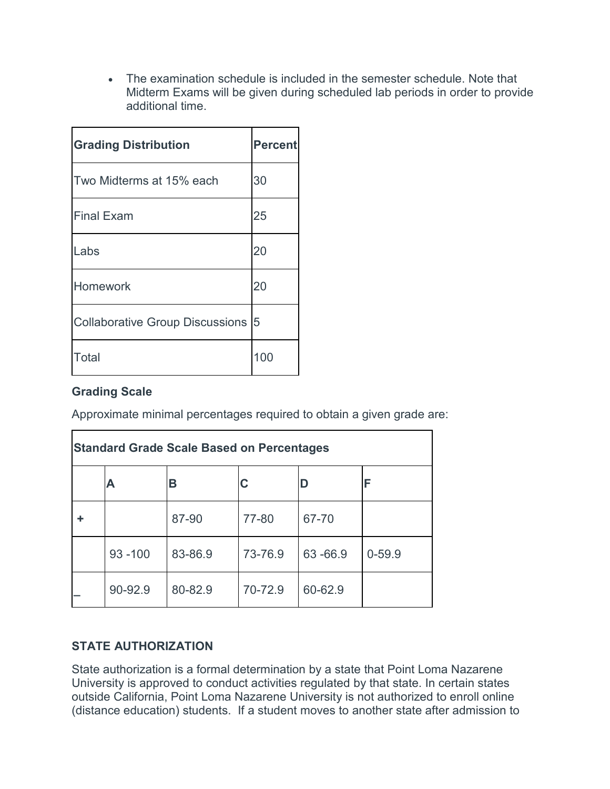• The examination schedule is included in the semester schedule. Note that Midterm Exams will be given during scheduled lab periods in order to provide additional time.

| <b>Grading Distribution</b>            | <b>Percent</b> |
|----------------------------------------|----------------|
| Two Midterms at 15% each               | 30             |
| <b>Final Exam</b>                      | 25             |
| Labs                                   | 20             |
| Homework                               | 20             |
| <b>Collaborative Group Discussions</b> | $\overline{5}$ |
| Total                                  | 100            |

# **Grading Scale**

Approximate minimal percentages required to obtain a given grade are:

| <b>Standard Grade Scale Based on Percentages</b> |            |         |         |         |            |
|--------------------------------------------------|------------|---------|---------|---------|------------|
|                                                  | А          | в       | С       | D       | F          |
|                                                  |            | 87-90   | 77-80   | 67-70   |            |
|                                                  | $93 - 100$ | 83-86.9 | 73-76.9 | 63-66.9 | $0 - 59.9$ |
|                                                  | 90-92.9    | 80-82.9 | 70-72.9 | 60-62.9 |            |

# **STATE AUTHORIZATION**

State authorization is a formal determination by a state that Point Loma Nazarene University is approved to conduct activities regulated by that state. In certain states outside California, Point Loma Nazarene University is not authorized to enroll online (distance education) students. If a student moves to another state after admission to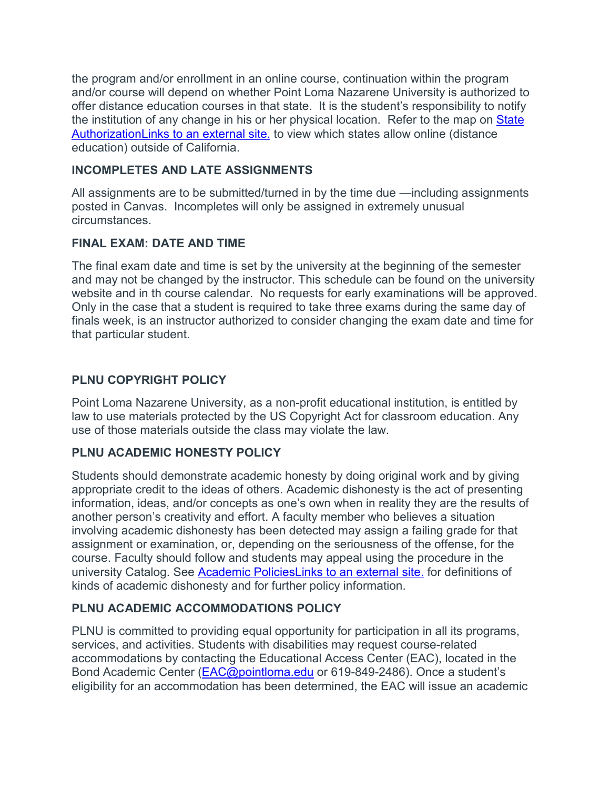the program and/or enrollment in an online course, continuation within the program and/or course will depend on whether Point Loma Nazarene University is authorized to offer distance education courses in that state. It is the student's responsibility to notify the institution of any change in his or her physical location. Refer to the map on State [AuthorizationLinks](https://www.pointloma.edu/offices/office-institutional-effectiveness-research/disclosures) to an external site. to view which states allow online (distance education) outside of California.

# **INCOMPLETES AND LATE ASSIGNMENTS**

All assignments are to be submitted/turned in by the time due —including assignments posted in Canvas. Incompletes will only be assigned in extremely unusual circumstances.

# **FINAL EXAM: DATE AND TIME**

The final exam date and time is set by the university at the beginning of the semester and may not be changed by the instructor. This schedule can be found on the university website and in th course calendar. No requests for early examinations will be approved. Only in the case that a student is required to take three exams during the same day of finals week, is an instructor authorized to consider changing the exam date and time for that particular student.

# **PLNU COPYRIGHT POLICY**

Point Loma Nazarene University, as a non-profit educational institution, is entitled by law to use materials protected by the US Copyright Act for classroom education. Any use of those materials outside the class may violate the law.

# **PLNU ACADEMIC HONESTY POLICY**

Students should demonstrate academic honesty by doing original work and by giving appropriate credit to the ideas of others. Academic dishonesty is the act of presenting information, ideas, and/or concepts as one's own when in reality they are the results of another person's creativity and effort. A faculty member who believes a situation involving academic dishonesty has been detected may assign a failing grade for that assignment or examination, or, depending on the seriousness of the offense, for the course. Faculty should follow and students may appeal using the procedure in the university Catalog. See [Academic PoliciesLinks](http://catalog.pointloma.edu/content.php?catoid=18&navoid=1278) to an external site. for definitions of kinds of academic dishonesty and for further policy information.

# **PLNU ACADEMIC ACCOMMODATIONS POLICY**

PLNU is committed to providing equal opportunity for participation in all its programs, services, and activities. Students with disabilities may request course-related accommodations by contacting the Educational Access Center (EAC), located in the Bond Academic Center [\(EAC@pointloma.edu](mailto:EAC@pointloma.edu) or 619-849-2486). Once a student's eligibility for an accommodation has been determined, the EAC will issue an academic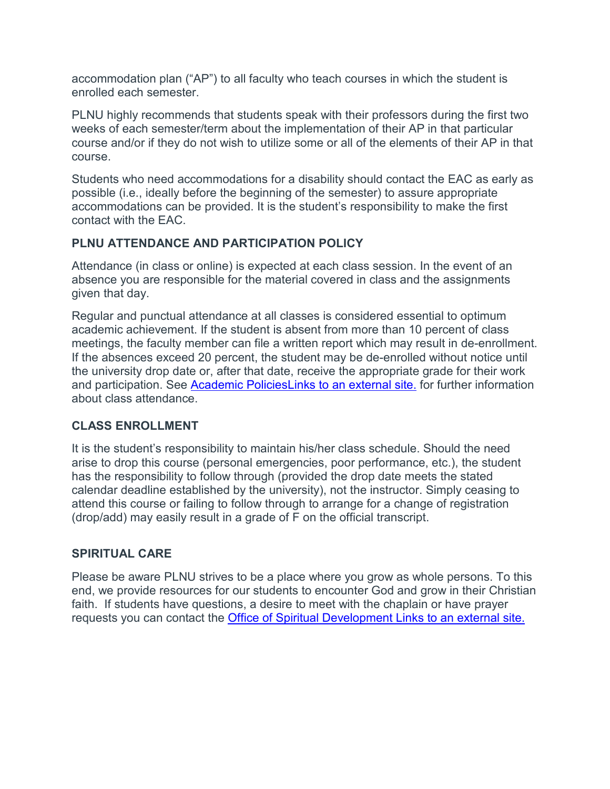accommodation plan ("AP") to all faculty who teach courses in which the student is enrolled each semester.

PLNU highly recommends that students speak with their professors during the first two weeks of each semester/term about the implementation of their AP in that particular course and/or if they do not wish to utilize some or all of the elements of their AP in that course.

Students who need accommodations for a disability should contact the EAC as early as possible (i.e., ideally before the beginning of the semester) to assure appropriate accommodations can be provided. It is the student's responsibility to make the first contact with the EAC.

# **PLNU ATTENDANCE AND PARTICIPATION POLICY**

Attendance (in class or online) is expected at each class session. In the event of an absence you are responsible for the material covered in class and the assignments given that day.

Regular and punctual attendance at all classes is considered essential to optimum academic achievement. If the student is absent from more than 10 percent of class meetings, the faculty member can file a written report which may result in de-enrollment. If the absences exceed 20 percent, the student may be de-enrolled without notice until the university drop date or, after that date, receive the appropriate grade for their work and participation. See [Academic PoliciesLinks](http://catalog.pointloma.edu/content.php?catoid=18&navoid=1278) to an external site. for further information about class attendance.

# **CLASS ENROLLMENT**

It is the student's responsibility to maintain his/her class schedule. Should the need arise to drop this course (personal emergencies, poor performance, etc.), the student has the responsibility to follow through (provided the drop date meets the stated calendar deadline established by the university), not the instructor. Simply ceasing to attend this course or failing to follow through to arrange for a change of registration (drop/add) may easily result in a grade of F on the official transcript.

#### **SPIRITUAL CARE**

Please be aware PLNU strives to be a place where you grow as whole persons. To this end, we provide resources for our students to encounter God and grow in their Christian faith. If students have questions, a desire to meet with the chaplain or have prayer requests you can contact the [Office of Spiritual Development](https://www.pointloma.edu/offices/spiritual-development) Links to an external site.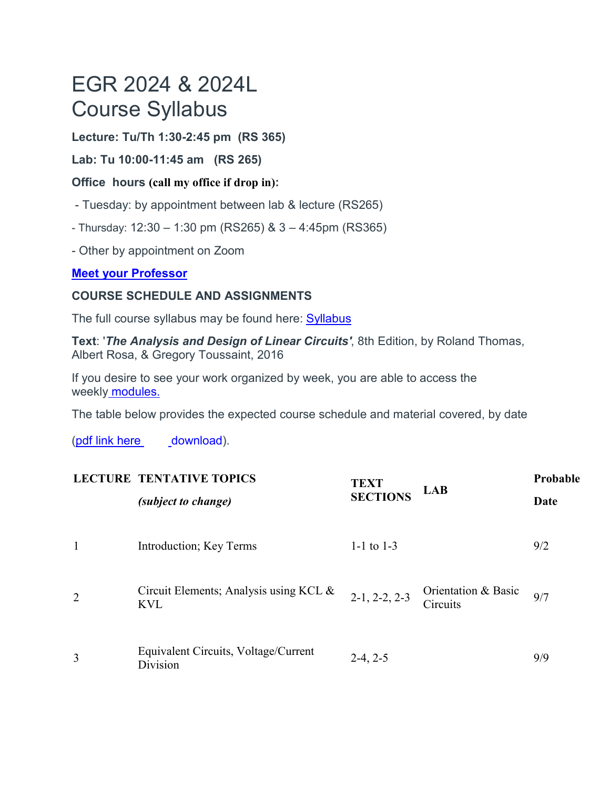# EGR 2024 & 2024L Course Syllabus

**Lecture: Tu/Th 1:30-2:45 pm (RS 365)**

**Lab: Tu 10:00-11:45 am (RS 265)**

# **Office hours (call my office if drop in):**

- Tuesday: by appointment between lab & lecture (RS265)
- $-$  Thursday: 12:30 1:30 pm (RS265) & 3 4:45pm (RS365)

- Other by appointment on Zoom

# **[Meet your Professor](https://canvas.pointloma.edu/courses/57932/pages/meet-your-instructor)**

# **COURSE SCHEDULE AND ASSIGNMENTS**

The full course syllabus may be found here: [Syllabus](https://canvas.pointloma.edu/courses/57932/pages/syllabus)

**Text**: '*The Analysis and Design of Linear Circuits'*, 8th Edition, by Roland Thomas, Albert Rosa, & Gregory Toussaint, 2016

If you desire to see your work organized by week, you are able to access the weekly [modules.](https://canvas.pointloma.edu/courses/57932/modules)

The table below provides the expected course schedule and material covered, by date

[\(pdf link here](https://canvas.pointloma.edu/courses/57932/files/4646050/download?wrap=1) [download\)](https://canvas.pointloma.edu/courses/57932/files/4646050/download?wrap=1).

|   | <b>LECTURE TENTATIVE TOPICS</b><br><i>(subject to change)</i> | <b>TEXT</b><br><b>SECTIONS</b> | <b>LAB</b>                      | Probable<br>Date |
|---|---------------------------------------------------------------|--------------------------------|---------------------------------|------------------|
| 1 | Introduction; Key Terms                                       | 1-1 to $1-3$                   |                                 | 9/2              |
| 2 | Circuit Elements; Analysis using KCL &<br><b>KVL</b>          | $2-1, 2-2, 2-3$                | Orientation & Basic<br>Circuits | 9/7              |
| 3 | Equivalent Circuits, Voltage/Current<br>Division              | $2-4, 2-5$                     |                                 | 9/9              |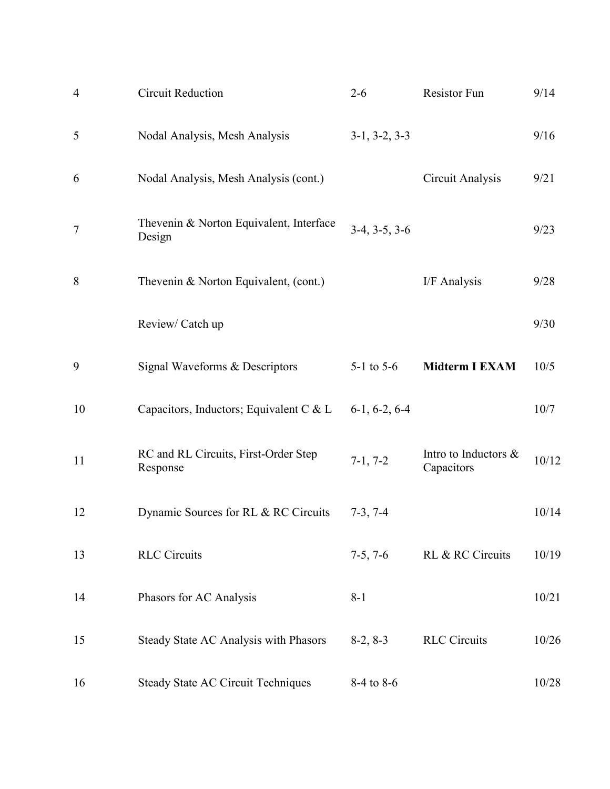| $\overline{4}$ | <b>Circuit Reduction</b>                          | $2 - 6$         | Resistor Fun                       | 9/14  |
|----------------|---------------------------------------------------|-----------------|------------------------------------|-------|
| 5              | Nodal Analysis, Mesh Analysis                     | $3-1, 3-2, 3-3$ |                                    | 9/16  |
| 6              | Nodal Analysis, Mesh Analysis (cont.)             |                 | Circuit Analysis                   | 9/21  |
| $\tau$         | Thevenin & Norton Equivalent, Interface<br>Design | $3-4, 3-5, 3-6$ |                                    | 9/23  |
| 8              | Thevenin & Norton Equivalent, (cont.)             |                 | I/F Analysis                       | 9/28  |
|                | Review/ Catch up                                  |                 |                                    | 9/30  |
| 9              | Signal Waveforms & Descriptors                    | 5-1 to $5-6$    | <b>Midterm I EXAM</b>              | 10/5  |
| 10             | Capacitors, Inductors; Equivalent C & L           | $6-1, 6-2, 6-4$ |                                    | 10/7  |
| 11             | RC and RL Circuits, First-Order Step<br>Response  | $7-1, 7-2$      | Intro to Inductors &<br>Capacitors | 10/12 |
| 12             | Dynamic Sources for RL & RC Circuits              | $7-3, 7-4$      |                                    | 10/14 |
| 13             | <b>RLC</b> Circuits                               | $7-5, 7-6$      | RL & RC Circuits                   | 10/19 |
| 14             | Phasors for AC Analysis                           | $8 - 1$         |                                    | 10/21 |
| 15             | Steady State AC Analysis with Phasors             | $8-2, 8-3$      | <b>RLC</b> Circuits                | 10/26 |
| 16             | <b>Steady State AC Circuit Techniques</b>         | 8-4 to 8-6      |                                    | 10/28 |